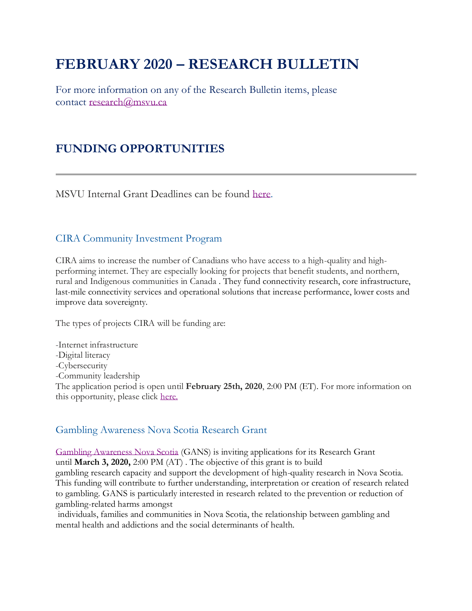# **FEBRUARY 2020 – RESEARCH BULLETIN**

For more information on any of the Research Bulletin items, please contact [research@msvu.ca](mailto:research@msvu.ca)

## **FUNDING OPPORTUNITIES**

MSVU Internal Grant Deadlines can be found [here.](https://www.msvu.ca/en/home/research/externalgrants/internalgrants.aspx)

#### CIRA Community Investment Program

CIRA aims to increase the number of Canadians who have access to a high-quality and highperforming internet. They are especially looking for projects that benefit students, and northern, rural and Indigenous communities in Canada . They fund connectivity research, core infrastructure, last-mile connectivity services and operational solutions that increase performance, lower costs and improve data sovereignty.

The types of projects CIRA will be funding are:

-Internet infrastructure -Digital literacy -Cybersecurity -Community leadership The application period is open until **February 25th, 2020**, 2:00 PM (ET). For more information on this opportunity, please click [here.](https://cira.ca/improving-canadas-internet/grants)

#### Gambling Awareness Nova Scotia Research Grant

[Gambling Awareness Nova Scotia](https://researchns.ca/GANS/) (GANS) is inviting applications for its Research Grant until **March 3, 2020,** 2:00 PM (AT) . The objective of this grant is to build gambling research capacity and support the development of high-quality research in Nova Scotia. This funding will contribute to further understanding, interpretation or creation of research related to gambling. GANS is particularly interested in research related to the prevention or reduction of gambling-related harms amongst

individuals, families and communities in Nova Scotia, the relationship between gambling and mental health and addictions and the social determinants of health.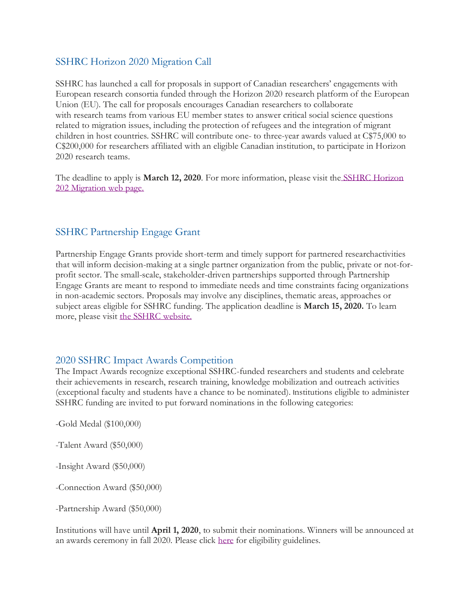#### SSHRC Horizon 2020 Migration Call

SSHRC has launched a call for proposals in support of Canadian researchers' engagements with European research consortia funded through the Horizon 2020 research platform of the European Union (EU). The call for proposals encourages Canadian researchers to collaborate with research teams from various EU member states to answer critical social science questions related to migration issues, including the protection of refugees and the integration of migrant children in host countries. SSHRC will contribute one- to three-year awards valued at C\$75,000 to C\$200,000 for researchers affiliated with an eligible Canadian institution, to participate in Horizon 2020 research teams.

The deadline to apply is **March 12, 2020**. For more information, please visit the [SSHRC Horizon](https://www.sshrc-crsh.gc.ca/funding-financement/programs-programmes/horizon_2020-eng.aspx)  [202 Migration web page.](https://www.sshrc-crsh.gc.ca/funding-financement/programs-programmes/horizon_2020-eng.aspx)

#### SSHRC Partnership Engage Grant

Partnership Engage Grants provide short-term and timely support for partnered researchactivities that will inform decision-making at a single partner organization from the public, private or not-forprofit sector. The small-scale, stakeholder-driven partnerships supported through Partnership Engage Grants are meant to respond to immediate needs and time constraints facing organizations in non-academic sectors. Proposals may involve any disciplines, thematic areas, approaches or subject areas eligible for SSHRC funding. The application deadline is **March 15, 2020.** To learn more, please visit [the SSHRC website.](https://www.sshrc-crsh.gc.ca/funding-financement/programs-programmes/partnership_engage_grants-subventions_d_engagement_partenarial-eng.aspx)

#### 2020 SSHRC Impact Awards Competition

The Impact Awards recognize exceptional SSHRC-funded researchers and students and celebrate their achievements in research, research training, knowledge mobilization and outreach activities (exceptional faculty and students have a chance to be nominated). Institutions eligible to administer SSHRC funding are invited to put forward nominations in the following categories:

-Gold Medal (\$100,000)

-Talent Award (\$50,000)

-Insight Award (\$50,000)

-Connection Award (\$50,000)

-Partnership Award (\$50,000)

Institutions will have until **April 1, 2020**, to submit their nominations. Winners will be announced at an awards ceremony in fall 2020. Please click [here](https://www.sshrc-crsh.gc.ca/about-au_sujet/policies-politiques/statements-enonces/institutional_eligibility-admissibilite_etablissements-eng.aspx) for eligibility guidelines.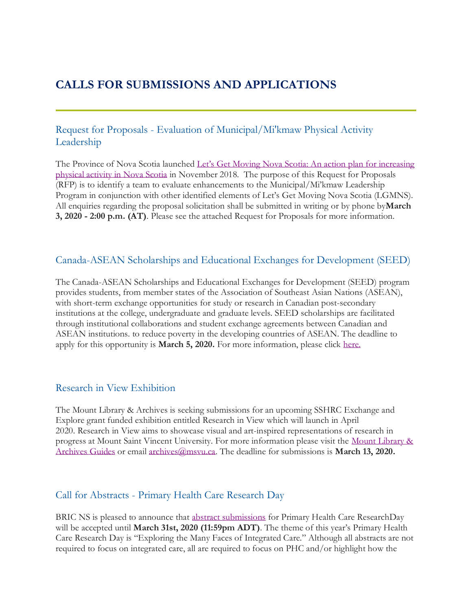### **CALLS FOR SUBMISSIONS AND APPLICATIONS**

#### Request for Proposals - Evaluation of Municipal/Mi'kmaw Physical Activity Leadership

The Province of Nova Scotia launched [Let's Get Moving Nova Scotia: An action plan for increasing](https://novascotia.ca/letsgetmoving/)  [physical activity in Nova Scotia](https://novascotia.ca/letsgetmoving/) in November 2018. The purpose of this Request for Proposals (RFP) is to identify a team to evaluate enhancements to the Municipal/Mi'kmaw Leadership Program in conjunction with other identified elements of Let's Get Moving Nova Scotia (LGMNS). All enquiries regarding the proposal solicitation shall be submitted in writing or by phone by**March 3, 2020 - 2:00 p.m. (AT)**. Please see the attached Request for Proposals for more information.

#### Canada-ASEAN Scholarships and Educational Exchanges for Development (SEED)

The Canada-ASEAN Scholarships and Educational Exchanges for Development (SEED) program provides students, from member states of the Association of Southeast Asian Nations (ASEAN), with short-term exchange opportunities for study or research in Canadian post-secondary institutions at the college, undergraduate and graduate levels. SEED scholarships are facilitated through institutional collaborations and student exchange agreements between Canadian and ASEAN institutions. to reduce poverty in the developing countries of ASEAN. The deadline to apply for this opportunity is **March 5, 2020.** For more information, please click [here.](https://www.educanada.ca/scholarships-bourses/can/institutions/asean-anase.aspx?lang=eng)

#### Research in View Exhibition

The Mount Library & Archives is seeking submissions for an upcoming SSHRC Exchange and Explore grant funded exhibition entitled Research in View which will launch in April 2020. Research in View aims to showcase visual and art-inspired representations of research in progress at Mount Saint Vincent University. For more information please visit the [Mount Library &](https://libguides.msvu.ca/openaccess/events)  [Archives Guides](https://libguides.msvu.ca/openaccess/events) or email [archives@msvu.ca.](mailto:archives@msvu.ca) The deadline for submissions is **March 13, 2020.**

#### Call for Abstracts - Primary Health Care Research Day

BRIC NS is pleased to announce that [abstract submissions](https://bricns.com/primary-health-care-research-day/abstract-submission/) for Primary Health Care ResearchDay will be accepted until **March 31st, 2020 (11:59pm ADT)**. The theme of this year's Primary Health Care Research Day is "Exploring the Many Faces of Integrated Care." Although all abstracts are not required to focus on integrated care, all are required to focus on PHC and/or highlight how the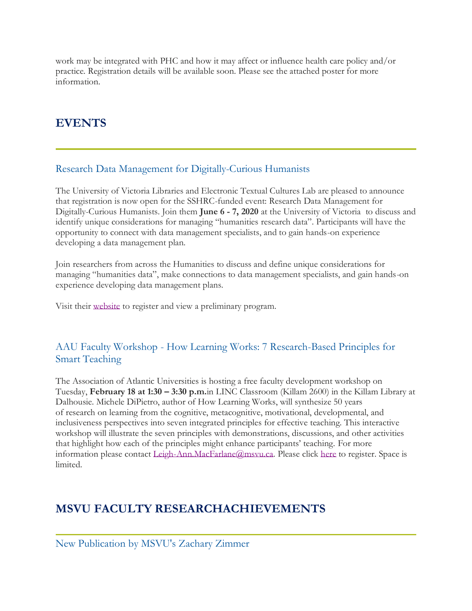work may be integrated with PHC and how it may affect or influence health care policy and/or practice. Registration details will be available soon. Please see the attached poster for more information.

# **EVENTS**

### Research Data Management for Digitally-Curious Humanists

The University of Victoria Libraries and Electronic Textual Cultures Lab are pleased to announce that registration is now open for the SSHRC-funded event: Research Data Management for Digitally-Curious Humanists. Join them **June 6 - 7, 2020** at the University of Victoria to discuss and identify unique considerations for managing "humanities research data". Participants will have the opportunity to connect with data management specialists, and to gain hands-on experience developing a data management plan.

Join researchers from across the Humanities to discuss and define unique considerations for managing "humanities data", make connections to data management specialists, and gain hands-on experience developing data management plans.

Visit their [website](https://onlineacademiccommunity.uvic.ca/dsc/2019/12/10/research-data-management-humanists/) to register and view a preliminary program.

### AAU Faculty Workshop - How Learning Works: 7 Research-Based Principles for Smart Teaching

The Association of Atlantic Universities is hosting a free faculty development workshop on Tuesday, **February 18 at 1:30 – 3:30 p.m.**in LINC Classroom (Killam 2600) in the Killam Library at Dalhousie. Michele DiPietro, author of How Learning Works, will synthesize 50 years of research on learning from the cognitive, metacognitive, motivational, developmental, and inclusiveness perspectives into seven integrated principles for effective teaching. This interactive workshop will illustrate the seven principles with demonstrations, discussions, and other activities that highlight how each of the principles might enhance participants' teaching. For more information please contact [Leigh-Ann.MacFarlane@msvu.ca.](mailto:Leigh-Ann.MacFarlane@msvu.ca) Please click [here](https://surveys.dal.ca/opinio/s?s=54123) to register. Space is limited.

# **MSVU FACULTY RESEARCHACHIEVEMENTS**